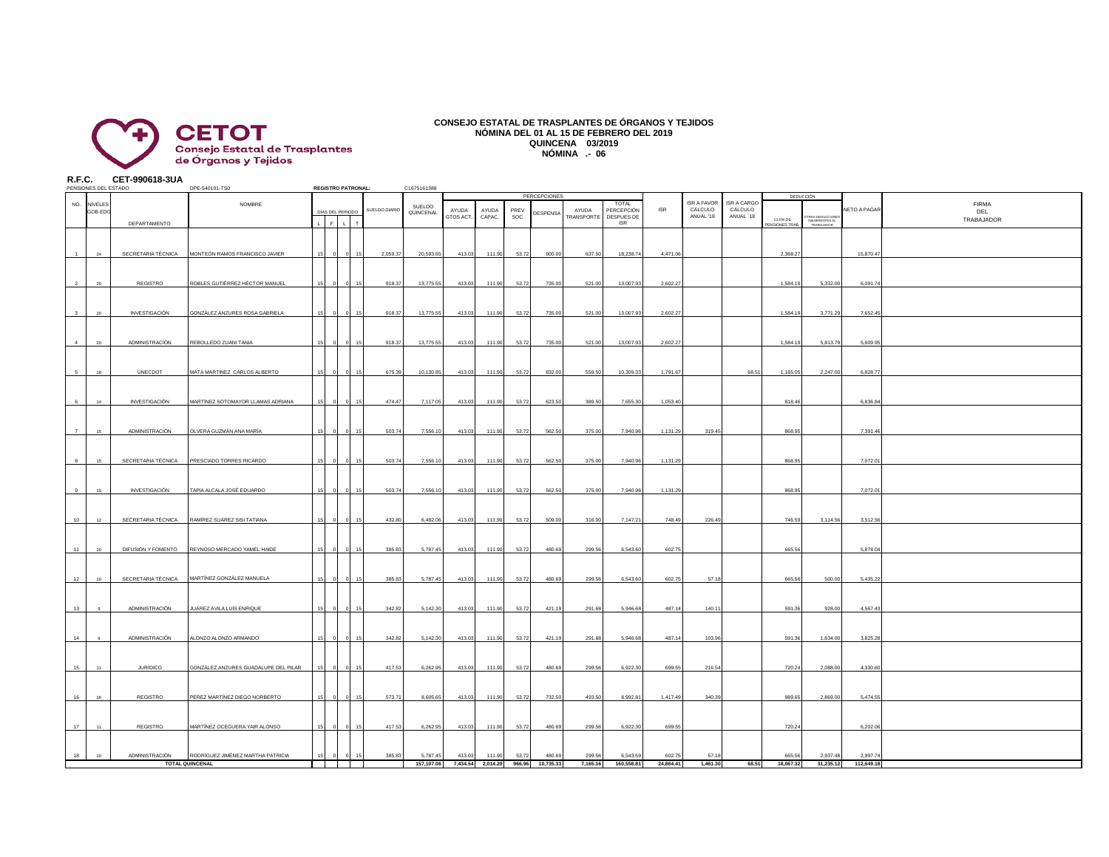

## **CONSEJO ESTATAL DE TRASPLANTES DE ÓRGANOS Y TEJIDOS NÓMINA DEL 01 AL 15 DE FEBRERO DEL 2019 QUINCENA 03/2019 NÓMINA .- 06**

**R.F.C. CET-990618-3UA**

|            | PENSIONES DEL ESTADO |                                  | DPE-540101-TS0                                                  |    |       | <b>REGISTRO PATRONAL:</b> |                  | C1675161388            |                    |                             |                 |                          |                     |                                   |                      |                                            |                                            |                      |                              |                        |                                   |
|------------|----------------------|----------------------------------|-----------------------------------------------------------------|----|-------|---------------------------|------------------|------------------------|--------------------|-----------------------------|-----------------|--------------------------|---------------------|-----------------------------------|----------------------|--------------------------------------------|--------------------------------------------|----------------------|------------------------------|------------------------|-----------------------------------|
| NO. NIVELE | <b>GOB ED</b>        |                                  | NOMBRE                                                          |    |       | DÍAS DEL PERIODO          | SUELDO DIARIO    | SUELDO<br>QUINCENAL    | AYUDA<br>GTOS ACT. | AYUDA<br>CAPAC.             | PREV<br>SOC     | PERCEPCIONES<br>DESPENSA | AYUDA<br>TRANSPORTE | TOTAL<br>PERCEPCIÓN<br>DESPUES DE | <b>ISR</b>           | <b>ISR A FAVOR</b><br>CÁLCULO<br>ANUAL '18 | <b>ISR A CARGO</b><br>CÁLCULO<br>ANUAL '18 | 11.5% DE             | DEDUCCIÓN<br>RAS DEDUCCION   | NETO A PAGAR           | <b>FIRMA</b><br>DEL<br>TRABAJADOR |
|            |                      | DEPARTAMENTO                     |                                                                 |    | ւեթեն |                           |                  |                        |                    |                             |                 |                          |                     | ISR                               |                      |                                            |                                            | <b>ENSIONES TRAB</b> | INEHERENTES AL<br>TRABAJADOR |                        |                                   |
|            |                      | SECRETARIA TÉCNICA               | MONTEÓN RAMOS FRANCISCO JAVIER                                  |    |       |                           | 2.059.37         | 20,593.65              | 413.03             | 111.90                      | 53.72           | 900.00                   | 637.50              | 18,238.7                          | 4,471.0              |                                            |                                            | 2,368.27             |                              | 15,870.4               |                                   |
|            |                      | REGISTRO<br><b>INVESTIGACIÓN</b> | OBLES GUTIÉRREZ HÉCTOR MANUEL<br>GONZÁLEZ ANZURES ROSA GABRIELA |    |       |                           | 918.37<br>918.37 | 13,775.55<br>13,775.55 | 413.03<br>413.03   | 111.90<br>111.90            | 53.72<br>53.72  | 735.00<br>735.00         | 521.00<br>521.00    | 13,007.9<br>13,007.93             | 2,602.27<br>2,602.27 |                                            |                                            | 1,584.19<br>1,584.19 | 5,332.00<br>3,771.29         | 6,091.7<br>7,652.45    |                                   |
|            |                      | ADMINISTRACIÓN                   | REBOLLEDO ZUANI TANIA                                           |    |       |                           | 918.37           | 13,775.55              | 413.03             | 111.90                      | 53.72           | 735.00                   | 521.00              | 13,007.93                         | 2,602.2              |                                            |                                            | 1,584.19             | 5,813.79                     | 5,609.9                |                                   |
|            | 18                   | UNECDOT                          | MATA MARTINEZ CARLOS ALBERTO                                    |    |       |                           | 675.39           | 10,130.85              | 413.03             | 111.90                      | 53.72           | 832.00                   | 559.50              | 10,309.33                         | 1,791.67             |                                            | 68.51                                      | 1,165.05             | 2,247.00                     | 6,828.77               |                                   |
|            | 14                   | <b>INVESTIGACIÓN</b>             | MARTÍNEZ SOTOMAYOR LLAMAS ADRIANA                               |    |       |                           | 474.47           | 7,117.05               | 413.03             | 111.9                       | 53.72           | 623.50                   | 389.50              | 7,655.3                           | 1,053.4              |                                            |                                            | 818.46               |                              | 6,836.8                |                                   |
|            | 15                   | ADMINISTRACIÓN                   | OLVERA GUZMÁN ANA MARÍA                                         |    |       |                           | 503.74           | 7,556.10               | 413.03             | 111.90                      | 53.72           | 562.50                   | 375.00              | 7,940.96                          | 1,131.29             | 319.45                                     |                                            | 868.95               |                              | 7,391.46               |                                   |
|            |                      | SECRETARIA TÉCNICA               | PRESCIADO TORRES RICARDO                                        |    |       |                           | 503.74           | 7,556.10               | 413.03             | 111.90                      | 53.72           | 562.50                   | 375.00              | 7,940.96                          | 1,131.29             |                                            |                                            | 868.95               |                              | 7,072.0                |                                   |
|            | 15                   | <b>INVESTIGACIÓN</b>             | TAPIA ALCALA JOSÉ EDUARDO                                       |    |       |                           | 503.74           | 7,556.10               | 413.03             | 111.90                      | 53.72           | 562.50                   | 375.00              | 7,940.96                          | 1,131.2              |                                            |                                            | 868.95               |                              | 7.072.0                |                                   |
| 10         |                      |                                  | SECRETARIA TÉCNICA RAMÍREZ SUÁREZ SISI TATIANA                  |    |       |                           | 432.80           | 6,492.06               | 413.03             | 111.90                      | 53.72           | 509.00                   | 316.00              | 7,147.21                          | 748.49               | 226.49                                     |                                            | 746.59               | 3,114.56                     | 3,512.56               |                                   |
| 11         |                      | DIFUSIÓN Y FOMENTO               | REYNOSO MERCADO YAMEL HAIDE                                     |    |       |                           | 385.83           | 5,787.45               | 413.03             | 111.90                      | 53.72           | 480.69                   | 299.56              | 6,543.60                          | 602.75               |                                            |                                            | 665.56               |                              | 5,878.04               |                                   |
| 12         |                      | SECRETARIA TÉCNICA               | MARTÍNEZ GONZÁLEZ MANUELA                                       |    |       |                           | 385.83           | 5,787.45               | 413.03             | 111.90                      | 53.72           | 480.69                   | 299.56              | 6,543.60                          | 602.75               | 57.18                                      |                                            | 665.56               | 500.00                       | 5.435.2                |                                   |
| 13         |                      | ADMINISTRACIÓN                   | UÁREZ ÁVILA LUÍS ENRIQUE                                        |    |       |                           | 342.82           | 5,142.30               | 413.03             | 111.90                      | 53.72           | 421.19                   | 291.68              | 5,946.68                          | 487.14               | 140.11                                     |                                            | 591.36               | 928.00                       | 4,567.4                |                                   |
| 14         |                      | ADMINISTRACIÓN                   | <b>LONZO ALONZO ARMANDO</b>                                     |    |       |                           | 342.82           | 5,142.30               | 413.03             | 111.90                      | 53.72           | 421.19                   | 291.68              | 5,946.68                          | 487.1                | 103.96                                     |                                            | 591.36               | 1,634.00                     | 3,825.2                |                                   |
| 15         |                      | <b>JURÍDICO</b>                  | SONZÁLEZ ANZURES GUADALUPE DEL PILAR                            |    |       |                           | 417.53           | 6,262.95               | 413.03             | 111.90                      | 53.72           | 480.69                   | 299.56              | 6,922.30                          | 699.55               | 216.54                                     |                                            | 720.24               | 2,088.00                     | 4,330.60               |                                   |
| 16         |                      | REGISTRO                         | <b>PEREZ MARTÍNEZ DIEGO NORBERTO</b>                            |    |       |                           | 573.71           | 8,605.65               | 413.03             | 111.90                      | 53.72           | 732.50                   | 493.50              | 8,992.81                          | 1,417.49             | 340.39                                     |                                            | 989.65               | 2,869.00                     | 5,474.55               |                                   |
| 17         | 11                   | REGISTRO                         | MARTÍNEZ OCEGUERA YAIR ALONSO                                   |    |       |                           | 417.53           | 6,262.95               | 413.03             | 111.90                      | 53.72           | 480.69                   | 299.56              | 6,922.30                          | 699.55               |                                            |                                            | 720.24               |                              | 6,202.06               |                                   |
| 18         | 10 <sup>1</sup>      | ADMINISTRACIÓN                   | RODRÍGUEZ JIMÉNEZ MARTHA PATRICIA<br><b>TOTAL QUINCENAL</b>     | 15 |       | 15                        | 385.83           | 5,787.45<br>157,107.06 | 413.03             | 111.90<br>7.434.54 2.014.20 | 53.72<br>966.96 | 480.69<br>10.735.33      | 299.56<br>7.165.16  | 6,543.59<br>160,558.81            | 602.75<br>24,864.41  | 57.18<br>1.461.30                          | 68.51                                      | 665.56<br>18,067,32  | 2,937.48<br>31.235.12        | 2,997.74<br>112,649.18 |                                   |